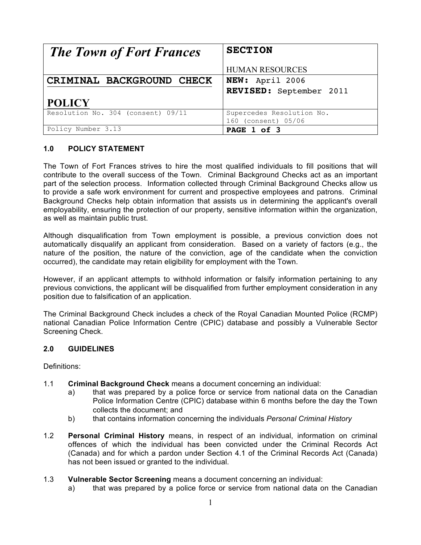| <b>The Town of Fort Frances</b>    | <b>SECTION</b>            |
|------------------------------------|---------------------------|
|                                    | <b>HUMAN RESOURCES</b>    |
| CRIMINAL BACKGROUND CHECK          | NEW: April 2006           |
|                                    | REVISED: September 2011   |
| <b>POLICY</b>                      |                           |
| Resolution No. 304 (consent) 09/11 | Supercedes Resolution No. |
|                                    | 160 (consent) 05/06       |
| Policy Number 3.13                 | PAGE 1 of 3               |

## **1.0 POLICY STATEMENT**

The Town of Fort Frances strives to hire the most qualified individuals to fill positions that will contribute to the overall success of the Town. Criminal Background Checks act as an important part of the selection process. Information collected through Criminal Background Checks allow us to provide a safe work environment for current and prospective employees and patrons. Criminal Background Checks help obtain information that assists us in determining the applicant's overall employability, ensuring the protection of our property, sensitive information within the organization, as well as maintain public trust.

Although disqualification from Town employment is possible, a previous conviction does not automatically disqualify an applicant from consideration. Based on a variety of factors (e.g., the nature of the position, the nature of the conviction, age of the candidate when the conviction occurred), the candidate may retain eligibility for employment with the Town.

However, if an applicant attempts to withhold information or falsify information pertaining to any previous convictions, the applicant will be disqualified from further employment consideration in any position due to falsification of an application.

The Criminal Background Check includes a check of the Royal Canadian Mounted Police (RCMP) national Canadian Police Information Centre (CPIC) database and possibly a Vulnerable Sector Screening Check.

## **2.0 GUIDELINES**

Definitions:

- 1.1 **Criminal Background Check** means a document concerning an individual:
	- a) that was prepared by a police force or service from national data on the Canadian Police Information Centre (CPIC) database within 6 months before the day the Town collects the document; and
	- b) that contains information concerning the individuals *Personal Criminal History*
- 1.2 **Personal Criminal History** means, in respect of an individual, information on criminal offences of which the individual has been convicted under the Criminal Records Act (Canada) and for which a pardon under Section 4.1 of the Criminal Records Act (Canada) has not been issued or granted to the individual.

#### 1.3 **Vulnerable Sector Screening** means a document concerning an individual:

a) that was prepared by a police force or service from national data on the Canadian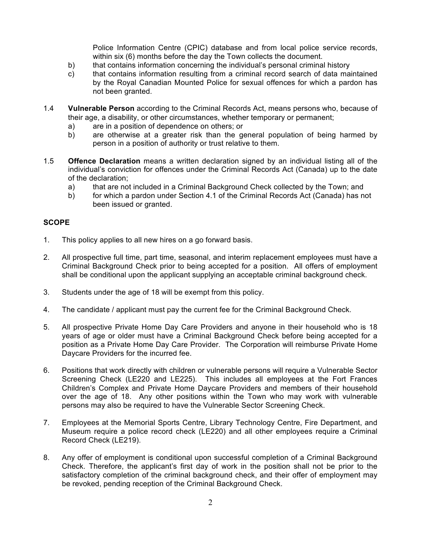Police Information Centre (CPIC) database and from local police service records, within six (6) months before the day the Town collects the document.

- b) that contains information concerning the individual's personal criminal history
- c) that contains information resulting from a criminal record search of data maintained by the Royal Canadian Mounted Police for sexual offences for which a pardon has not been granted.
- 1.4 **Vulnerable Person** according to the Criminal Records Act, means persons who, because of their age, a disability, or other circumstances, whether temporary or permanent;
	- a) are in a position of dependence on others; or
	- b) are otherwise at a greater risk than the general population of being harmed by person in a position of authority or trust relative to them.
- 1.5 **Offence Declaration** means a written declaration signed by an individual listing all of the individual's conviction for offences under the Criminal Records Act (Canada) up to the date of the declaration;
	- a) that are not included in a Criminal Background Check collected by the Town; and
	- b) for which a pardon under Section 4.1 of the Criminal Records Act (Canada) has not been issued or granted.

### **SCOPE**

- 1. This policy applies to all new hires on a go forward basis.
- 2. All prospective full time, part time, seasonal, and interim replacement employees must have a Criminal Background Check prior to being accepted for a position. All offers of employment shall be conditional upon the applicant supplying an acceptable criminal background check.
- 3. Students under the age of 18 will be exempt from this policy.
- 4. The candidate / applicant must pay the current fee for the Criminal Background Check.
- 5. All prospective Private Home Day Care Providers and anyone in their household who is 18 years of age or older must have a Criminal Background Check before being accepted for a position as a Private Home Day Care Provider. The Corporation will reimburse Private Home Daycare Providers for the incurred fee.
- 6. Positions that work directly with children or vulnerable persons will require a Vulnerable Sector Screening Check (LE220 and LE225). This includes all employees at the Fort Frances Children's Complex and Private Home Daycare Providers and members of their household over the age of 18. Any other positions within the Town who may work with vulnerable persons may also be required to have the Vulnerable Sector Screening Check.
- 7. Employees at the Memorial Sports Centre, Library Technology Centre, Fire Department, and Museum require a police record check (LE220) and all other employees require a Criminal Record Check (LE219).
- 8. Any offer of employment is conditional upon successful completion of a Criminal Background Check. Therefore, the applicant's first day of work in the position shall not be prior to the satisfactory completion of the criminal background check, and their offer of employment may be revoked, pending reception of the Criminal Background Check.